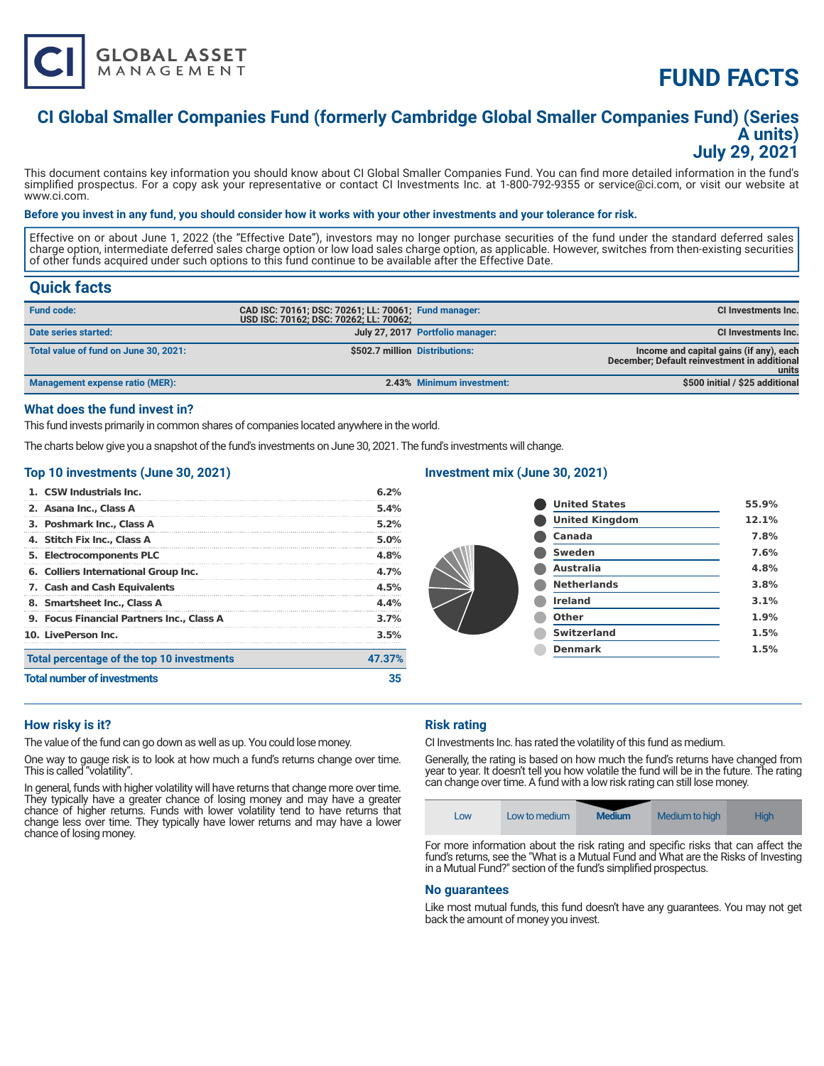

# **FUND FACTS**

### **CI Global Smaller Companies Fund (formerly Cambridge Global Smaller Companies Fund) (Series A units) July 29, 2021**

This document contains key information you should know about CI Global Smaller Companies Fund. You can find more detailed information in the fund's simplified prospectus. For a copy ask your representative or contact CI Investments Inc. at 1-800-792-9355 or service@ci.com, or visit our website at www.ci.com.

#### **Before you invest in any fund, you should consider how it works with your other investments and your tolerance for risk.**

Effective on or about June 1, 2022 (the "Effective Date"), investors may no longer purchase securities of the fund under the standard deferred sales charge option, intermediate deferred sales charge option or low load sales charge option, as applicable. However, switches from then-existing securities of other funds acquired under such options to this fund continue to be available after the Effective Date.

### **Quick facts**

| <b>Fund code:</b>                     | CAD ISC: 70161; DSC: 70261; LL: 70061; Fund manager:<br>USD ISC: 70162; DSC: 70262; LL: 70062; |                                  | <b>CI Investments Inc.</b>                                                                       |
|---------------------------------------|------------------------------------------------------------------------------------------------|----------------------------------|--------------------------------------------------------------------------------------------------|
| Date series started:                  |                                                                                                | July 27, 2017 Portfolio manager: | CI Investments Inc.                                                                              |
| Total value of fund on June 30, 2021: | \$502.7 million Distributions:                                                                 |                                  | Income and capital gains (if any), each<br>December: Default reinvestment in additional<br>units |
| Management expense ratio (MER):       |                                                                                                | 2.43% Minimum investment:        | \$500 initial / \$25 additional                                                                  |

#### **What does the fund invest in?**

This fund invests primarily in common shares of companies located anywhere in the world.

The charts below give you a snapshot of the fund's investments on June 30, 2021. The fund's investments will change.

#### **Top 10 investments (June 30, 2021)**

| <b>Total number of investments</b>               | 35      |
|--------------------------------------------------|---------|
| Total percentage of the top 10 investments       | 47.37%  |
| 10. LivePerson Inc.                              | 3.5%    |
| <b>9. Focus Financial Partners Inc., Class A</b> | 3.7%    |
| 8. Smartsheet Inc., Class A                      | 4.4%    |
| 7. Cash and Cash Equivalents                     | 4.5%    |
| 6. Colliers International Group Inc.             | 4.7%    |
| 5. Electrocomponents PLC                         | 4.8%    |
| 4. Stitch Fix Inc., Class A                      | 5.0%    |
| 3. Poshmark Inc., Class A                        | $5.2\%$ |
| 2. Asana Inc., Class A                           | 5.4%    |
| 1. CSW Industrials Inc.                          | 6.2%    |

#### **Investment mix (June 30, 2021)**

| <b>United States</b>  | 55.9% |
|-----------------------|-------|
| <b>United Kingdom</b> | 12.1% |
| Canada                | 7.8%  |
| <b>Sweden</b>         | 7.6%  |
| Australia             | 4.8%  |
| <b>Netherlands</b>    | 3.8%  |
| <b>Ireland</b>        | 3.1%  |
| Other                 | 1.9%  |
| <b>Switzerland</b>    | 1.5%  |
| <b>Denmark</b>        | 1.5%  |
|                       |       |

#### **How risky is it?**

The value of the fund can go down as well as up. You could lose money.

One way to gauge risk is to look at how much a fund's returns change over time. This is called "volatility".

In general, funds with higher volatility will have returns that change more over time. They typically have a greater chance of losing money and may have a greater chance of higher returns. Funds with lower volatility tend to have returns that change less over time. They typically have lower returns and may have a lower chance of losing money.

#### **Risk rating**

CI Investments Inc. has rated the volatility of this fund as medium.

Generally, the rating is based on how much the fund's returns have changed from year to year. It doesn't tell you how volatile the fund will be in the future. The rating can change over time. A fund with a low risk rating can still lose money.



For more information about the risk rating and specific risks that can affect the fund's returns, see the "What is a Mutual Fund and What are the Risks of Investing in a Mutual Fund?" section of the fund's simplified prospectus.

#### **No guarantees**

Like most mutual funds, this fund doesn't have any guarantees. You may not get back the amount of money you invest.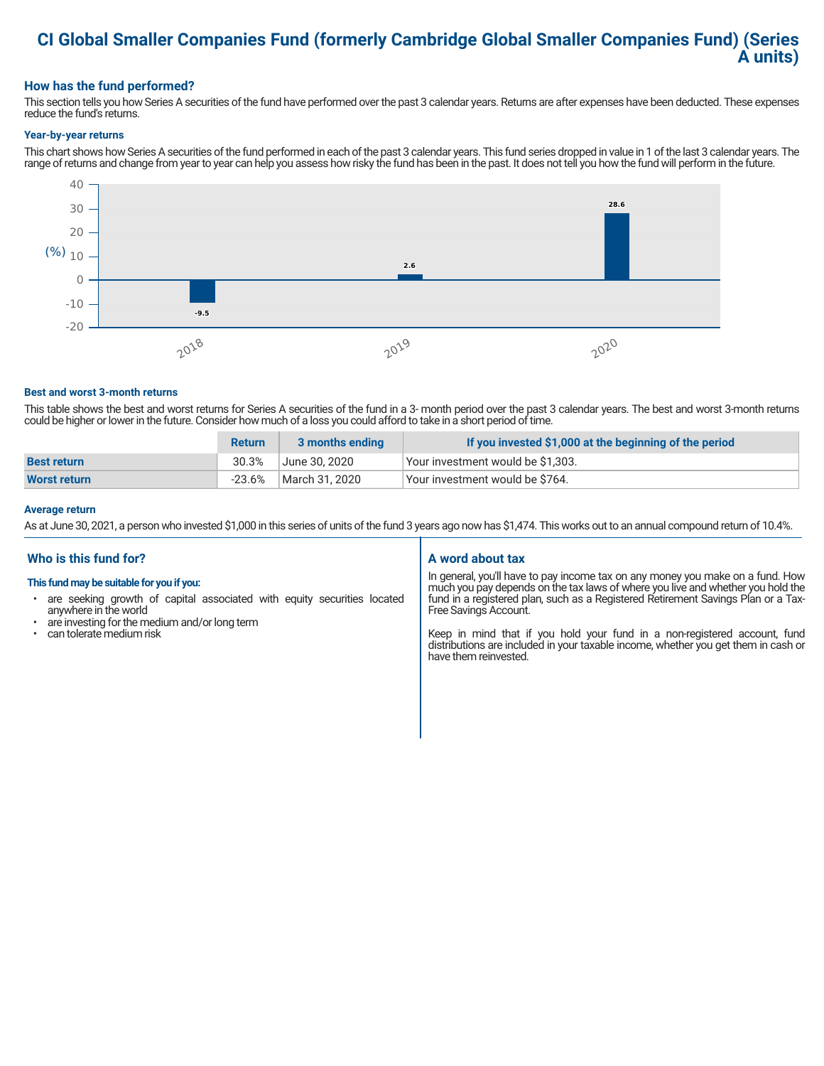### **CI Global Smaller Companies Fund (formerly Cambridge Global Smaller Companies Fund) (Series A units)**

#### **How has the fund performed?**

This section tells you how Series A securities of the fund have performed over the past 3 calendar years. Returns are after expenses have been deducted. These expenses reduce the fund's returns.

#### **Year-by-year returns**

This chart shows how Series A securities of the fund performed in each of the past 3 calendar years. This fund series dropped in value in 1 of the last 3 calendar years. The range of returns and change from year to year can help you assess how risky the fund has been in the past. It does not tell you how the fund will perform in the future.



#### **Best and worst 3-month returns**

This table shows the best and worst returns for Series A securities of the fund in a 3- month period over the past 3 calendar years. The best and worst 3-month returns could be higher or lower in the future. Consider how much of a loss you could afford to take in a short period of time.

|                     | <b>Return</b> | 3 months ending | If you invested \$1,000 at the beginning of the period |
|---------------------|---------------|-----------------|--------------------------------------------------------|
| <b>Best return</b>  | 30.3%         | June 30. 2020   | Vour investment would be \$1,303.                      |
| <b>Worst return</b> | $-23.6%$      | March 31, 2020  | Vour investment would be \$764.                        |

#### **Average return**

As at June 30, 2021, a person who invested \$1,000 in this series of units of the fund 3 years ago now has \$1,474. This works out to an annual compound return of 10.4%.

#### **Who is this fund for?**

#### **This fund may be suitable for you if you:**

- are seeking growth of capital associated with equity securities located anywhere in the world
- are investing for the medium and/or long term
- can tolerate medium risk

#### **A word about tax**

In general, you'll have to pay income tax on any money you make on a fund. How much you pay depends on the tax laws of where you live and whether you hold the fund in a registered plan, such as a Registered Retirement Savings Plan or a Tax-Free Savings Account.

Keep in mind that if you hold your fund in a non-registered account, fund distributions are included in your taxable income, whether you get them in cash or have them reinvested.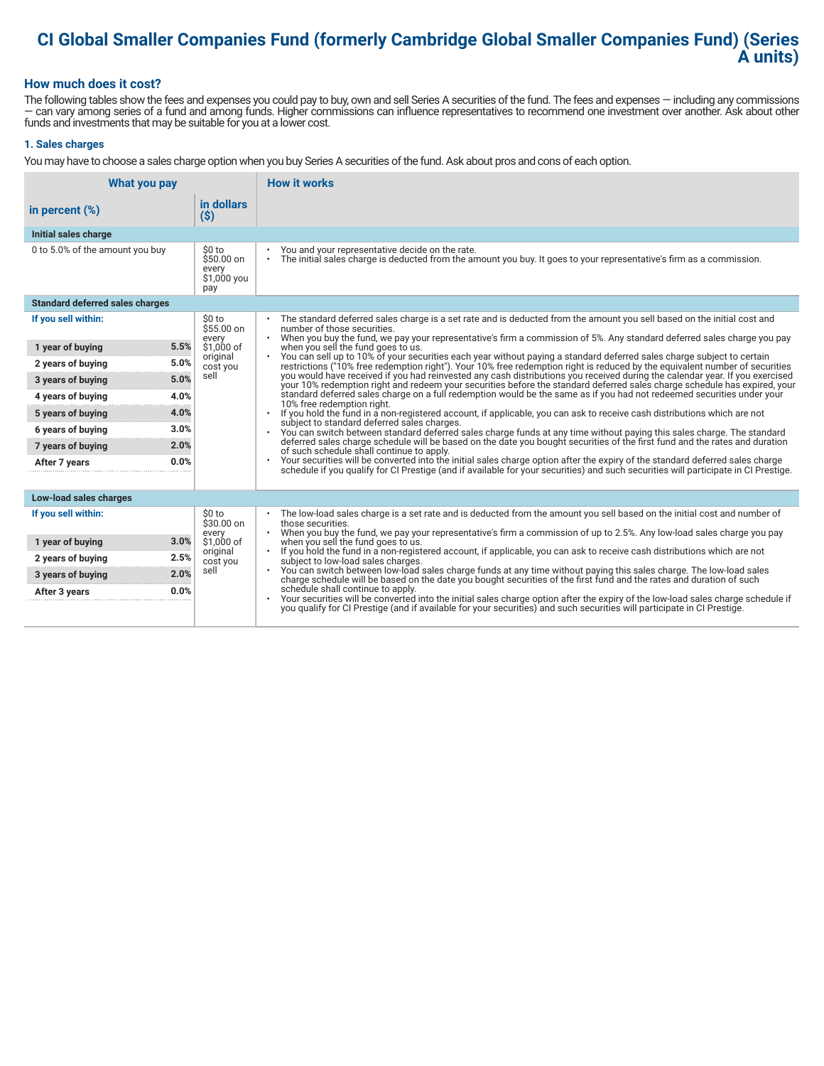## **CI Global Smaller Companies Fund (formerly Cambridge Global Smaller Companies Fund) (Series A units)**

#### **How much does it cost?**

The following tables show the fees and expenses you could pay to buy, own and sell Series A securities of the fund. The fees and expenses — including any commissions — can vary among series of a fund and among funds. Higher commissions can influence representatives to recommend one investment over another. Ask about other funds and investments that may be suitable for you at a lower cost.

#### **1. Sales charges**

You may have to choose a sales charge option when you buy Series A securities of the fund. Ask about pros and cons of each option.

| What you pay                           |                                                      | <b>How it works</b>                                                                                                                                                                                                                                                                                                                                                                                                                                                    |  |  |
|----------------------------------------|------------------------------------------------------|------------------------------------------------------------------------------------------------------------------------------------------------------------------------------------------------------------------------------------------------------------------------------------------------------------------------------------------------------------------------------------------------------------------------------------------------------------------------|--|--|
| in percent $(\%)$                      | in dollars<br>$(\$)$                                 |                                                                                                                                                                                                                                                                                                                                                                                                                                                                        |  |  |
| Initial sales charge                   |                                                      |                                                                                                                                                                                                                                                                                                                                                                                                                                                                        |  |  |
| 0 to 5.0% of the amount you buy        | \$0 to<br>$$50.00$ on<br>every<br>\$1,000 you<br>pay | You and your representative decide on the rate.<br>The initial sales charge is deducted from the amount you buy. It goes to your representative's firm as a commission.<br>$\bullet$                                                                                                                                                                                                                                                                                   |  |  |
| <b>Standard deferred sales charges</b> |                                                      |                                                                                                                                                                                                                                                                                                                                                                                                                                                                        |  |  |
| If you sell within:                    | \$0 to<br>$$55.00$ on                                | The standard deferred sales charge is a set rate and is deducted from the amount you sell based on the initial cost and<br>number of those securities.<br>When you buy the fund, we pay your representative's firm a commission of 5%. Any standard deferred sales charge you pay<br>$\bullet$                                                                                                                                                                         |  |  |
| 5.5%<br>1 year of buying               | every<br>\$1,000 of                                  | when you sell the fund goes to us.                                                                                                                                                                                                                                                                                                                                                                                                                                     |  |  |
| 5.0%<br>2 years of buying              | original<br>cost you                                 | You can sell up to 10% of your securities each year without paying a standard deferred sales charge subject to certain<br>restrictions ("10% free redemption right"). Your 10% free redemption right is reduced by the equivalent number of securities                                                                                                                                                                                                                 |  |  |
| 5.0%<br>3 years of buying              | sell                                                 | you would have received if you had reinvested any cash distributions you received during the calendar year. If you exercised<br>your 10% redemption right and redeem your securities before the standard deferred sales charge schedule has expired, your                                                                                                                                                                                                              |  |  |
| 4.0%<br>4 years of buying              |                                                      | standard deferred sales charge on a full redemption would be the same as if you had not redeemed securities under your<br>10% free redemption right.<br>If you hold the fund in a non-registered account, if applicable, you can ask to receive cash distributions which are not<br>subject to standard deferred sales charges.<br>You can switch between standard deferred sales charge funds at any time without paying this sales charge. The standard<br>$\bullet$ |  |  |
| 4.0%<br>5 years of buying              |                                                      |                                                                                                                                                                                                                                                                                                                                                                                                                                                                        |  |  |
| 3.0%<br>6 years of buying              |                                                      |                                                                                                                                                                                                                                                                                                                                                                                                                                                                        |  |  |
| 2.0%<br>7 years of buying              |                                                      | deferred sales charge schedule will be based on the date you bought securities of the first fund and the rates and duration<br>of such schedule shall continue to apply.                                                                                                                                                                                                                                                                                               |  |  |
| 0.0%<br>After 7 years                  |                                                      | Your securities will be converted into the initial sales charge option after the expiry of the standard deferred sales charge<br>schedule if you qualify for CI Prestige (and if available for your securities) and such securities will participate in CI Prestige.                                                                                                                                                                                                   |  |  |
| Low-load sales charges                 |                                                      |                                                                                                                                                                                                                                                                                                                                                                                                                                                                        |  |  |
| If you sell within:                    | \$0 to<br>\$30.00 on<br>every                        | The low-load sales charge is a set rate and is deducted from the amount you sell based on the initial cost and number of<br>those securities.<br>When you buy the fund, we pay your representative's firm a commission of up to 2.5%. Any low-load sales charge you pay                                                                                                                                                                                                |  |  |
| 3.0%<br>1 year of buying               | \$1.000 of<br>original                               | when you sell the fund goes to us.<br>If you hold the fund in a non-registered account, if applicable, you can ask to receive cash distributions which are not<br>$\bullet$                                                                                                                                                                                                                                                                                            |  |  |
| 2.5%<br>2 years of buying              | cost you                                             | subject to low-load sales charges.                                                                                                                                                                                                                                                                                                                                                                                                                                     |  |  |
| 2.0%<br>3 years of buying              | sell                                                 | . You can switch between low-load sales charge funds at any time without paying this sales charge. The low-load sales<br>charge schedule will be based on the date you bought securities of the first fund and the rates and duration of such                                                                                                                                                                                                                          |  |  |
| 0.0%<br>After 3 years                  |                                                      | schedule shall continue to apply.<br>Your securities will be converted into the initial sales charge option after the expiry of the low-load sales charge schedule if<br>you qualify for CI Prestige (and if available for your securities) and such securities will participate in CI Prestige.                                                                                                                                                                       |  |  |